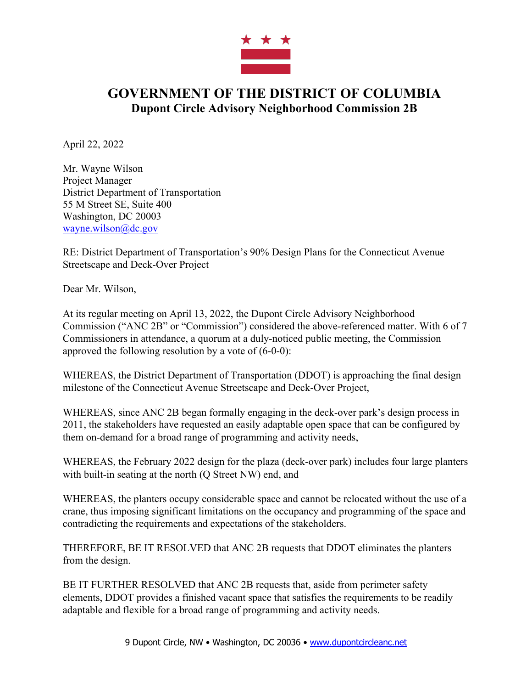

## **GOVERNMENT OF THE DISTRICT OF COLUMBIA Dupont Circle Advisory Neighborhood Commission 2B**

April 22, 2022

Mr. Wayne Wilson Project Manager District Department of Transportation 55 M Street SE, Suite 400 Washington, DC 20003 wayne.wilson@dc.gov

RE: District Department of Transportation's 90% Design Plans for the Connecticut Avenue Streetscape and Deck-Over Project

Dear Mr. Wilson,

At its regular meeting on April 13, 2022, the Dupont Circle Advisory Neighborhood Commission ("ANC 2B" or "Commission") considered the above-referenced matter. With 6 of 7 Commissioners in attendance, a quorum at a duly-noticed public meeting, the Commission approved the following resolution by a vote of (6-0-0):

WHEREAS, the District Department of Transportation (DDOT) is approaching the final design milestone of the Connecticut Avenue Streetscape and Deck-Over Project,

WHEREAS, since ANC 2B began formally engaging in the deck-over park's design process in 2011, the stakeholders have requested an easily adaptable open space that can be configured by them on-demand for a broad range of programming and activity needs,

WHEREAS, the February 2022 design for the plaza (deck-over park) includes four large planters with built-in seating at the north (Q Street NW) end, and

WHEREAS, the planters occupy considerable space and cannot be relocated without the use of a crane, thus imposing significant limitations on the occupancy and programming of the space and contradicting the requirements and expectations of the stakeholders.

THEREFORE, BE IT RESOLVED that ANC 2B requests that DDOT eliminates the planters from the design.

BE IT FURTHER RESOLVED that ANC 2B requests that, aside from perimeter safety elements, DDOT provides a finished vacant space that satisfies the requirements to be readily adaptable and flexible for a broad range of programming and activity needs.